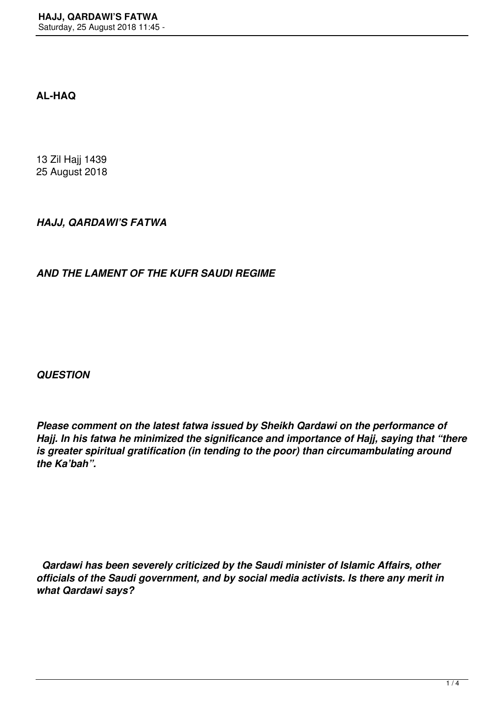## **AL-HAQ**

13 Zil Hajj 1439 25 August 2018

## *HAJJ, QARDAWI'S FATWA*

## *AND THE LAMENT OF THE KUFR SAUDI REGIME*

*QUESTION*

*Please comment on the latest fatwa issued by Sheikh Qardawi on the performance of Hajj. In his fatwa he minimized the significance and importance of Hajj, saying that "there is greater spiritual gratification (in tending to the poor) than circumambulating around the Ka'bah".*

 *Qardawi has been severely criticized by the Saudi minister of Islamic Affairs, other officials of the Saudi government, and by social media activists. Is there any merit in what Qardawi says?*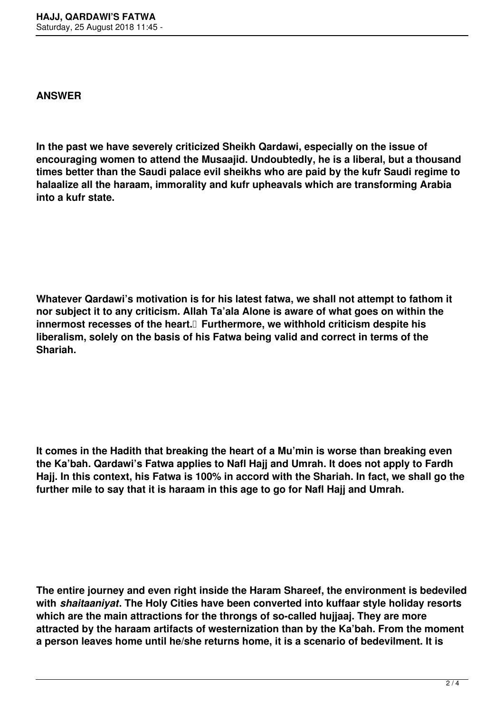## **ANSWER**

**In the past we have severely criticized Sheikh Qardawi, especially on the issue of encouraging women to attend the Musaajid. Undoubtedly, he is a liberal, but a thousand times better than the Saudi palace evil sheikhs who are paid by the kufr Saudi regime to halaalize all the haraam, immorality and kufr upheavals which are transforming Arabia into a kufr state.**

**Whatever Qardawi's motivation is for his latest fatwa, we shall not attempt to fathom it nor subject it to any criticism. Allah Ta'ala Alone is aware of what goes on within the innermost recesses of the heart. Furthermore, we withhold criticism despite his liberalism, solely on the basis of his Fatwa being valid and correct in terms of the Shariah.**

**It comes in the Hadith that breaking the heart of a Mu'min is worse than breaking even the Ka'bah. Qardawi's Fatwa applies to Nafl Hajj and Umrah. It does not apply to Fardh Hajj. In this context, his Fatwa is 100% in accord with the Shariah. In fact, we shall go the further mile to say that it is haraam in this age to go for Nafl Hajj and Umrah.**

**The entire journey and even right inside the Haram Shareef, the environment is bedeviled with** *shaitaaniyat***. The Holy Cities have been converted into kuffaar style holiday resorts which are the main attractions for the throngs of so-called hujjaaj. They are more attracted by the haraam artifacts of westernization than by the Ka'bah. From the moment a person leaves home until he/she returns home, it is a scenario of bedevilment. It is**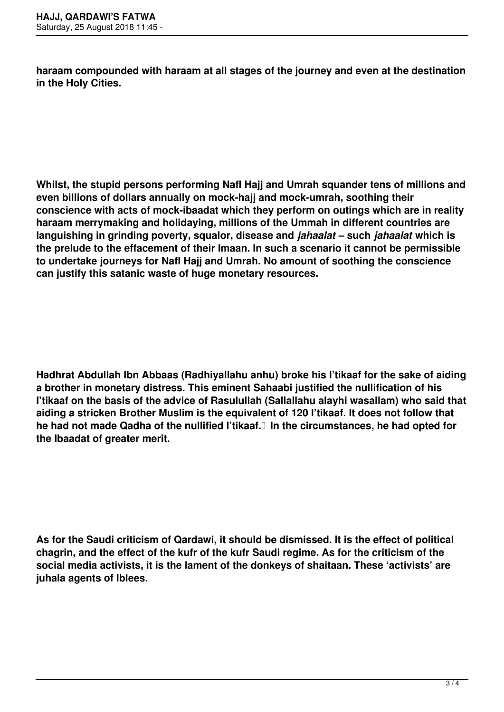**haraam compounded with haraam at all stages of the journey and even at the destination in the Holy Cities.**

**Whilst, the stupid persons performing Nafl Hajj and Umrah squander tens of millions and even billions of dollars annually on mock-hajj and mock-umrah, soothing their conscience with acts of mock-ibaadat which they perform on outings which are in reality haraam merrymaking and holidaying, millions of the Ummah in different countries are languishing in grinding poverty, squalor, disease and** *jahaalat* **– such** *jahaalat* **which is the prelude to the effacement of their Imaan. In such a scenario it cannot be permissible to undertake journeys for Nafl Hajj and Umrah. No amount of soothing the conscience can justify this satanic waste of huge monetary resources.**

**Hadhrat Abdullah Ibn Abbaas (Radhiyallahu anhu) broke his I'tikaaf for the sake of aiding a brother in monetary distress. This eminent Sahaabi justified the nullification of his I'tikaaf on the basis of the advice of Rasulullah (Sallallahu alayhi wasallam) who said that aiding a stricken Brother Muslim is the equivalent of 120 I'tikaaf. It does not follow that he had not made Qadha of the nullified I'tikaaf. In the circumstances, he had opted for the Ibaadat of greater merit.**

**As for the Saudi criticism of Qardawi, it should be dismissed. It is the effect of political chagrin, and the effect of the kufr of the kufr Saudi regime. As for the criticism of the social media activists, it is the lament of the donkeys of shaitaan. These 'activists' are juhala agents of Iblees.**